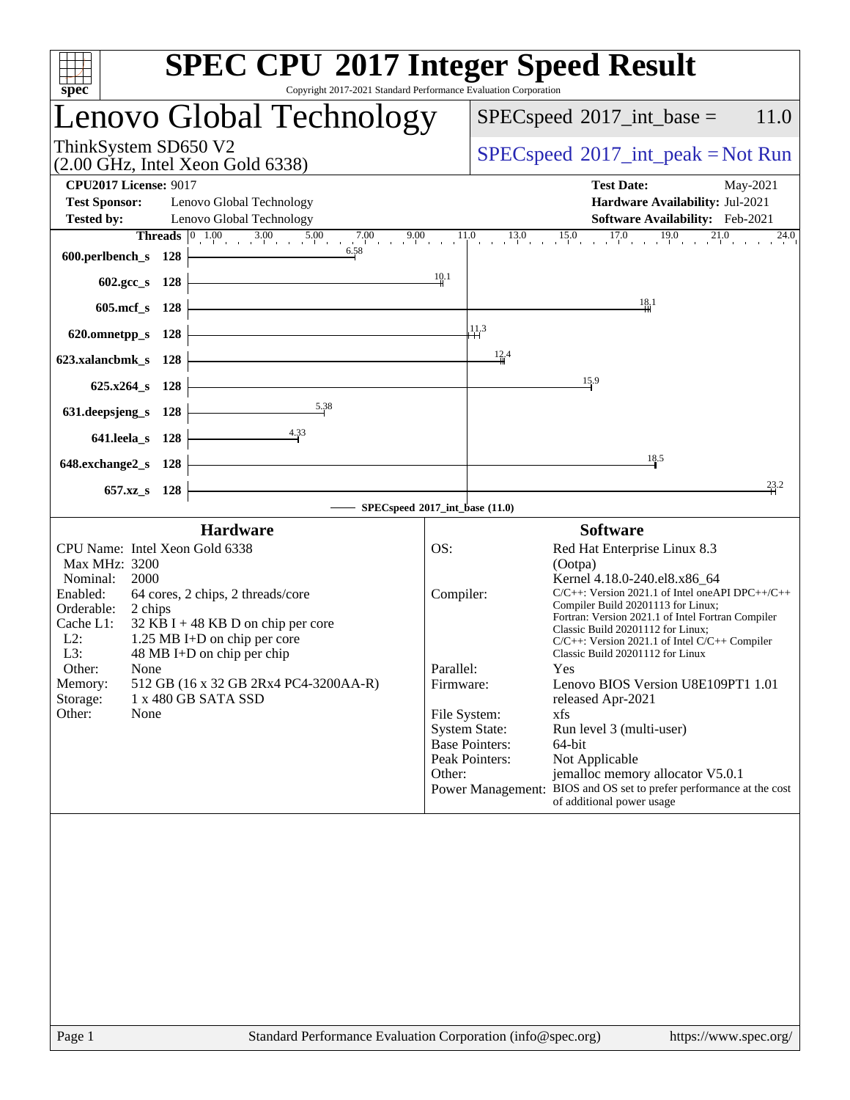| $spec^*$                                                                                                                                                                                                 | <b>SPEC CPU®2017 Integer Speed Result</b><br>Copyright 2017-2021 Standard Performance Evaluation Corporation                                                                                            |                                                      |                                                                                                                                                                                                                                                                                                                                                                                                                                                                                                                                                                                                                                                                                                                      |
|----------------------------------------------------------------------------------------------------------------------------------------------------------------------------------------------------------|---------------------------------------------------------------------------------------------------------------------------------------------------------------------------------------------------------|------------------------------------------------------|----------------------------------------------------------------------------------------------------------------------------------------------------------------------------------------------------------------------------------------------------------------------------------------------------------------------------------------------------------------------------------------------------------------------------------------------------------------------------------------------------------------------------------------------------------------------------------------------------------------------------------------------------------------------------------------------------------------------|
|                                                                                                                                                                                                          | Lenovo Global Technology                                                                                                                                                                                |                                                      | $SPEC speed^{\circ}2017\_int\_base =$<br>11.0                                                                                                                                                                                                                                                                                                                                                                                                                                                                                                                                                                                                                                                                        |
| ThinkSystem SD650 V2                                                                                                                                                                                     | $(2.00 \text{ GHz}, \text{Intel Xeon Gold } 6338)$                                                                                                                                                      |                                                      | $SPEC speed^{\circ}2017\_int\_peak = Not Run$                                                                                                                                                                                                                                                                                                                                                                                                                                                                                                                                                                                                                                                                        |
| <b>CPU2017 License: 9017</b><br><b>Test Sponsor:</b><br><b>Tested by:</b>                                                                                                                                | Lenovo Global Technology<br>Lenovo Global Technology                                                                                                                                                    |                                                      | <b>Test Date:</b><br>May-2021<br>Hardware Availability: Jul-2021<br>Software Availability: Feb-2021                                                                                                                                                                                                                                                                                                                                                                                                                                                                                                                                                                                                                  |
| 600.perlbench_s                                                                                                                                                                                          | <b>Threads</b> $\begin{array}{ccc c} 0 & 1.00 & 3.00 & 5.00 & 7.00 & 9.00 \end{array}$<br>6.58<br>128                                                                                                   |                                                      | $13.0$ $15.0$ $17.0$ $19.0$ $21.0$<br>11.0<br>$^{24.0}$                                                                                                                                                                                                                                                                                                                                                                                                                                                                                                                                                                                                                                                              |
| $602 \text{.} \text{gcc}\_\text{s}$                                                                                                                                                                      | 128                                                                                                                                                                                                     | 10.1                                                 |                                                                                                                                                                                                                                                                                                                                                                                                                                                                                                                                                                                                                                                                                                                      |
| $605$ .mcf $_s$                                                                                                                                                                                          | 128                                                                                                                                                                                                     |                                                      | $\frac{18}{11}$<br>11.3                                                                                                                                                                                                                                                                                                                                                                                                                                                                                                                                                                                                                                                                                              |
| 620.omnetpp_s<br>623.xalancbmk_s                                                                                                                                                                         | 128<br>128                                                                                                                                                                                              |                                                      | 12.4                                                                                                                                                                                                                                                                                                                                                                                                                                                                                                                                                                                                                                                                                                                 |
| $625.x264$ s                                                                                                                                                                                             | 128                                                                                                                                                                                                     |                                                      | 15.9                                                                                                                                                                                                                                                                                                                                                                                                                                                                                                                                                                                                                                                                                                                 |
| 631.deepsjeng_s<br>641.leela_s                                                                                                                                                                           | 5.38<br>128<br>4.33<br>128                                                                                                                                                                              |                                                      |                                                                                                                                                                                                                                                                                                                                                                                                                                                                                                                                                                                                                                                                                                                      |
| 648.exchange2_s                                                                                                                                                                                          | 128                                                                                                                                                                                                     |                                                      | 18.5                                                                                                                                                                                                                                                                                                                                                                                                                                                                                                                                                                                                                                                                                                                 |
| 657.xz_s                                                                                                                                                                                                 | 128<br>SPECspeed®2017_int_base (11.0)                                                                                                                                                                   |                                                      | 23.2                                                                                                                                                                                                                                                                                                                                                                                                                                                                                                                                                                                                                                                                                                                 |
|                                                                                                                                                                                                          | <b>Hardware</b>                                                                                                                                                                                         |                                                      | <b>Software</b>                                                                                                                                                                                                                                                                                                                                                                                                                                                                                                                                                                                                                                                                                                      |
| CPU Name: Intel Xeon Gold 6338<br><b>Max MHz: 3200</b><br>Nominal:<br>2000<br>Enabled:<br>Orderable:<br>2 chips<br>Cache L1:<br>$L2$ :<br>L3:<br>Other:<br>None<br>Memory:<br>Storage:<br>Other:<br>None | 64 cores, 2 chips, 2 threads/core<br>$32$ KB I + 48 KB D on chip per core<br>1.25 MB I+D on chip per core<br>48 MB I+D on chip per chip<br>512 GB (16 x 32 GB 2Rx4 PC4-3200AA-R)<br>1 x 480 GB SATA SSD | OS:<br>Compiler:<br>Parallel:<br>Firmware:<br>Other: | Red Hat Enterprise Linux 8.3<br>(Ootpa)<br>Kernel 4.18.0-240.el8.x86_64<br>$C/C++$ : Version 2021.1 of Intel one API DPC++/C++<br>Compiler Build 20201113 for Linux;<br>Fortran: Version 2021.1 of Intel Fortran Compiler<br>Classic Build 20201112 for Linux;<br>$C/C++$ : Version 2021.1 of Intel $C/C++$ Compiler<br>Classic Build 20201112 for Linux<br>Yes<br>Lenovo BIOS Version U8E109PT1 1.01<br>released Apr-2021<br>File System:<br>xfs<br><b>System State:</b><br>Run level 3 (multi-user)<br><b>Base Pointers:</b><br>64-bit<br>Peak Pointers:<br>Not Applicable<br>jemalloc memory allocator V5.0.1<br>Power Management: BIOS and OS set to prefer performance at the cost<br>of additional power usage |
|                                                                                                                                                                                                          |                                                                                                                                                                                                         |                                                      |                                                                                                                                                                                                                                                                                                                                                                                                                                                                                                                                                                                                                                                                                                                      |
| Page 1                                                                                                                                                                                                   | Standard Performance Evaluation Corporation (info@spec.org)                                                                                                                                             |                                                      | https://www.spec.org/                                                                                                                                                                                                                                                                                                                                                                                                                                                                                                                                                                                                                                                                                                |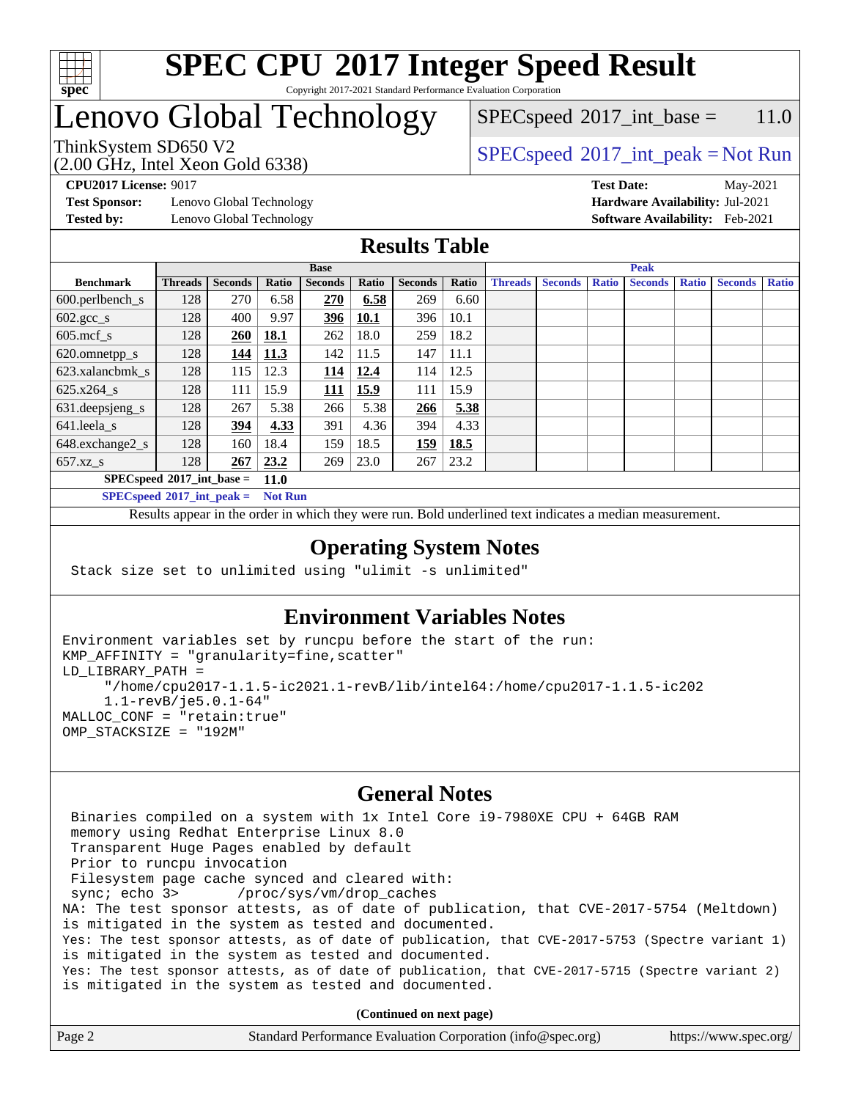

#### **[SPEC CPU](http://www.spec.org/auto/cpu2017/Docs/result-fields.html#SPECCPU2017IntegerSpeedResult)[2017 Integer Speed Result](http://www.spec.org/auto/cpu2017/Docs/result-fields.html#SPECCPU2017IntegerSpeedResult)** Copyright 2017-2021 Standard Performance Evaluation Corporation

### Lenovo Global Technology

 $SPEC speed^{\circ}2017\_int\_base = 11.0$ 

(2.00 GHz, Intel Xeon Gold 6338)

ThinkSystem SD650 V2<br>  $\begin{array}{c} \text{SPEC speed} \textdegree 2017\_int\_peak = Not Run \end{array}$ 

**[Test Sponsor:](http://www.spec.org/auto/cpu2017/Docs/result-fields.html#TestSponsor)** Lenovo Global Technology **[Hardware Availability:](http://www.spec.org/auto/cpu2017/Docs/result-fields.html#HardwareAvailability)** Jul-2021 **[Tested by:](http://www.spec.org/auto/cpu2017/Docs/result-fields.html#Testedby)** Lenovo Global Technology **[Software Availability:](http://www.spec.org/auto/cpu2017/Docs/result-fields.html#SoftwareAvailability)** Feb-2021

**[CPU2017 License:](http://www.spec.org/auto/cpu2017/Docs/result-fields.html#CPU2017License)** 9017 **[Test Date:](http://www.spec.org/auto/cpu2017/Docs/result-fields.html#TestDate)** May-2021

#### **[Results Table](http://www.spec.org/auto/cpu2017/Docs/result-fields.html#ResultsTable)**

|                                              | <b>Base</b>    |                |       |                |       |                | <b>Peak</b> |                |                |              |                |              |                |              |
|----------------------------------------------|----------------|----------------|-------|----------------|-------|----------------|-------------|----------------|----------------|--------------|----------------|--------------|----------------|--------------|
| <b>Benchmark</b>                             | <b>Threads</b> | <b>Seconds</b> | Ratio | <b>Seconds</b> | Ratio | <b>Seconds</b> | Ratio       | <b>Threads</b> | <b>Seconds</b> | <b>Ratio</b> | <b>Seconds</b> | <b>Ratio</b> | <b>Seconds</b> | <b>Ratio</b> |
| $600.$ perlbench $\mathsf{S}$                | 128            | 270            | 6.58  | 270            | 6.58  | 269            | 6.60        |                |                |              |                |              |                |              |
| $602.\text{gcc}\_\text{s}$                   | 128            | 400            | 9.97  | 396            | 10.1  | 396            | 10.1        |                |                |              |                |              |                |              |
| $605$ .mcf s                                 | 128            | 260            | 18.1  | 262            | 18.0  | 259            | 18.2        |                |                |              |                |              |                |              |
| 620.omnetpp_s                                | 128            | 144            | 11.3  | 142            | 11.5  | 147            | 11.1        |                |                |              |                |              |                |              |
| 623.xalancbmk s                              | 128            | 115            | 12.3  | 114            | 12.4  | 114            | 12.5        |                |                |              |                |              |                |              |
| 625.x264 s                                   | 128            | 111            | 15.9  | <b>111</b>     | 15.9  | 111            | 15.9        |                |                |              |                |              |                |              |
| 631.deepsjeng_s                              | 128            | 267            | 5.38  | 266            | 5.38  | 266            | 5.38        |                |                |              |                |              |                |              |
| 641.leela s                                  | 128            | 394            | 4.33  | 391            | 4.36  | 394            | 4.33        |                |                |              |                |              |                |              |
| 648.exchange2_s                              | 128            | 160            | 18.4  | 159            | 18.5  | 159            | 18.5        |                |                |              |                |              |                |              |
| $657.xz$ s                                   | 128            | 267            | 23.2  | 269            | 23.0  | 267            | 23.2        |                |                |              |                |              |                |              |
| $SPECspeed*2017\_int\_base =$<br><b>11.0</b> |                |                |       |                |       |                |             |                |                |              |                |              |                |              |

**[SPECspeed](http://www.spec.org/auto/cpu2017/Docs/result-fields.html#SPECspeed2017intpeak)[2017\\_int\\_peak =](http://www.spec.org/auto/cpu2017/Docs/result-fields.html#SPECspeed2017intpeak) Not Run**

Results appear in the [order in which they were run.](http://www.spec.org/auto/cpu2017/Docs/result-fields.html#RunOrder) Bold underlined text [indicates a median measurement.](http://www.spec.org/auto/cpu2017/Docs/result-fields.html#Median)

#### **[Operating System Notes](http://www.spec.org/auto/cpu2017/Docs/result-fields.html#OperatingSystemNotes)**

Stack size set to unlimited using "ulimit -s unlimited"

### **[Environment Variables Notes](http://www.spec.org/auto/cpu2017/Docs/result-fields.html#EnvironmentVariablesNotes)**

```
Environment variables set by runcpu before the start of the run:
KMP_AFFINITY = "granularity=fine,scatter"
LD_LIBRARY_PATH =
      "/home/cpu2017-1.1.5-ic2021.1-revB/lib/intel64:/home/cpu2017-1.1.5-ic202
      1.1-revB/je5.0.1-64"
MALLOC_CONF = "retain:true"
OMP_STACKSIZE = "192M"
```
#### **[General Notes](http://www.spec.org/auto/cpu2017/Docs/result-fields.html#GeneralNotes)**

 Binaries compiled on a system with 1x Intel Core i9-7980XE CPU + 64GB RAM memory using Redhat Enterprise Linux 8.0 Transparent Huge Pages enabled by default Prior to runcpu invocation Filesystem page cache synced and cleared with: sync; echo 3> /proc/sys/vm/drop\_caches NA: The test sponsor attests, as of date of publication, that CVE-2017-5754 (Meltdown) is mitigated in the system as tested and documented. Yes: The test sponsor attests, as of date of publication, that CVE-2017-5753 (Spectre variant 1) is mitigated in the system as tested and documented. Yes: The test sponsor attests, as of date of publication, that CVE-2017-5715 (Spectre variant 2) is mitigated in the system as tested and documented.

**(Continued on next page)**

| Page 2 | Standard Performance Evaluation Corporation (info@spec.org) | https://www.spec.org/ |
|--------|-------------------------------------------------------------|-----------------------|
|--------|-------------------------------------------------------------|-----------------------|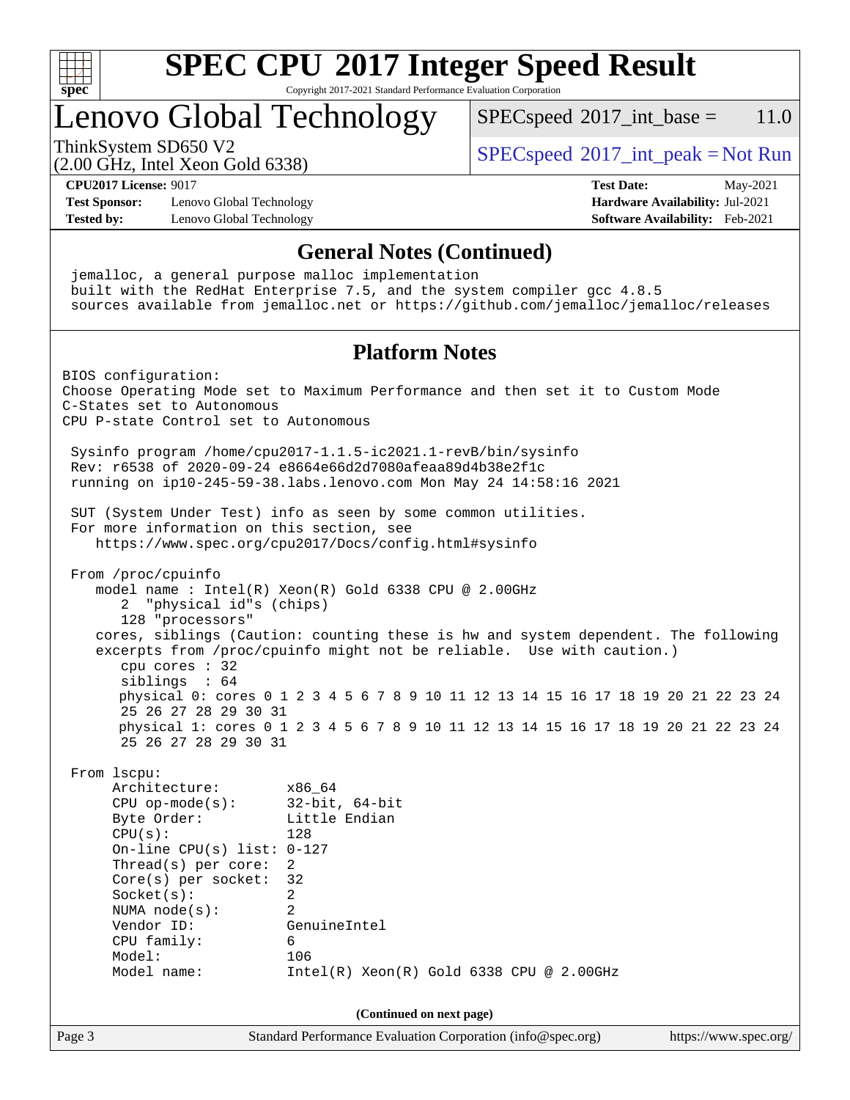

#### **[SPEC CPU](http://www.spec.org/auto/cpu2017/Docs/result-fields.html#SPECCPU2017IntegerSpeedResult)[2017 Integer Speed Result](http://www.spec.org/auto/cpu2017/Docs/result-fields.html#SPECCPU2017IntegerSpeedResult)** Copyright 2017-2021 Standard Performance Evaluation Corporation

### Lenovo Global Technology

 $SPECspeed^{\circ}2017\_int\_base = 11.0$  $SPECspeed^{\circ}2017\_int\_base = 11.0$ 

(2.00 GHz, Intel Xeon Gold 6338)

ThinkSystem SD650 V2<br>  $\begin{array}{c} \text{SPEC speed} \textdegree 2017\_int\_peak = Not Run \end{array}$ 

**[CPU2017 License:](http://www.spec.org/auto/cpu2017/Docs/result-fields.html#CPU2017License)** 9017 **[Test Date:](http://www.spec.org/auto/cpu2017/Docs/result-fields.html#TestDate)** May-2021

**[Test Sponsor:](http://www.spec.org/auto/cpu2017/Docs/result-fields.html#TestSponsor)** Lenovo Global Technology **[Hardware Availability:](http://www.spec.org/auto/cpu2017/Docs/result-fields.html#HardwareAvailability)** Jul-2021 **[Tested by:](http://www.spec.org/auto/cpu2017/Docs/result-fields.html#Testedby)** Lenovo Global Technology **[Software Availability:](http://www.spec.org/auto/cpu2017/Docs/result-fields.html#SoftwareAvailability)** Feb-2021

#### **[General Notes \(Continued\)](http://www.spec.org/auto/cpu2017/Docs/result-fields.html#GeneralNotes)**

Page 3 Standard Performance Evaluation Corporation [\(info@spec.org\)](mailto:info@spec.org) <https://www.spec.org/> jemalloc, a general purpose malloc implementation built with the RedHat Enterprise 7.5, and the system compiler gcc 4.8.5 sources available from jemalloc.net or <https://github.com/jemalloc/jemalloc/releases> **[Platform Notes](http://www.spec.org/auto/cpu2017/Docs/result-fields.html#PlatformNotes)** BIOS configuration: Choose Operating Mode set to Maximum Performance and then set it to Custom Mode C-States set to Autonomous CPU P-state Control set to Autonomous Sysinfo program /home/cpu2017-1.1.5-ic2021.1-revB/bin/sysinfo Rev: r6538 of 2020-09-24 e8664e66d2d7080afeaa89d4b38e2f1c running on ip10-245-59-38.labs.lenovo.com Mon May 24 14:58:16 2021 SUT (System Under Test) info as seen by some common utilities. For more information on this section, see <https://www.spec.org/cpu2017/Docs/config.html#sysinfo> From /proc/cpuinfo model name : Intel(R) Xeon(R) Gold 6338 CPU @ 2.00GHz 2 "physical id"s (chips) 128 "processors" cores, siblings (Caution: counting these is hw and system dependent. The following excerpts from /proc/cpuinfo might not be reliable. Use with caution.) cpu cores : 32 siblings : 64 physical 0: cores 0 1 2 3 4 5 6 7 8 9 10 11 12 13 14 15 16 17 18 19 20 21 22 23 24 25 26 27 28 29 30 31 physical 1: cores 0 1 2 3 4 5 6 7 8 9 10 11 12 13 14 15 16 17 18 19 20 21 22 23 24 25 26 27 28 29 30 31 From lscpu: Architecture: x86\_64 CPU op-mode(s): 32-bit, 64-bit Byte Order: Little Endian  $CPU(s):$  128 On-line CPU(s) list: 0-127 Thread(s) per core: 2 Core(s) per socket: 32 Socket(s): 2 NUMA node(s): 2 Vendor ID: GenuineIntel CPU family: 6 Model: 106 Model name: Intel(R) Xeon(R) Gold 6338 CPU @ 2.00GHz **(Continued on next page)**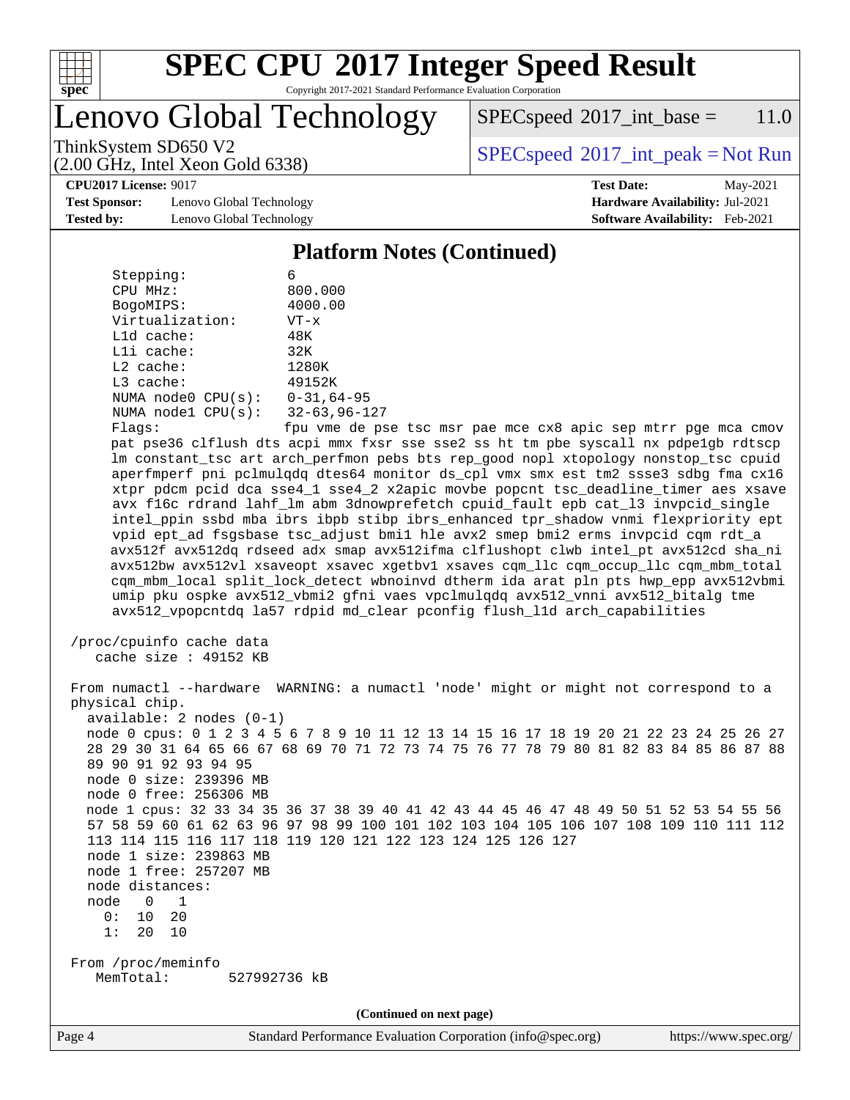

Copyright 2017-2021 Standard Performance Evaluation Corporation

Lenovo Global Technology

 $SPEC speed^{\circ}2017\_int\_base = 11.0$ 

(2.00 GHz, Intel Xeon Gold 6338)

ThinkSystem SD650 V2<br>  $\begin{array}{c} \text{SPEC speed} \textdegree 2017\_int\_peak = Not Run \end{array}$ 

#### **[CPU2017 License:](http://www.spec.org/auto/cpu2017/Docs/result-fields.html#CPU2017License)** 9017 **[Test Date:](http://www.spec.org/auto/cpu2017/Docs/result-fields.html#TestDate)** May-2021

**[Test Sponsor:](http://www.spec.org/auto/cpu2017/Docs/result-fields.html#TestSponsor)** Lenovo Global Technology **[Hardware Availability:](http://www.spec.org/auto/cpu2017/Docs/result-fields.html#HardwareAvailability)** Jul-2021 **[Tested by:](http://www.spec.org/auto/cpu2017/Docs/result-fields.html#Testedby)** Lenovo Global Technology **[Software Availability:](http://www.spec.org/auto/cpu2017/Docs/result-fields.html#SoftwareAvailability)** Feb-2021

#### **[Platform Notes \(Continued\)](http://www.spec.org/auto/cpu2017/Docs/result-fields.html#PlatformNotes)**

| Stepping:          | 6                   |
|--------------------|---------------------|
| CPU MHz:           | 800.000             |
| BogoMIPS:          | 4000.00             |
| Virtualization:    | $VT - x$            |
| $L1d$ cache:       | 48K                 |
| $L1i$ cache:       | 32K                 |
| $L2$ cache:        | 1280K               |
| $L3$ cache:        | 49152K              |
| NUMA node0 CPU(s): | $0 - 31, 64 - 95$   |
| NUMA node1 CPU(s): | $32 - 63, 96 - 127$ |
| Flanc:             | fnu vme de no       |

Flags: fpu vme de pse tsc msr pae mce cx8 apic sep mtrr pge mca cmov pat pse36 clflush dts acpi mmx fxsr sse sse2 ss ht tm pbe syscall nx pdpe1gb rdtscp lm constant\_tsc art arch\_perfmon pebs bts rep\_good nopl xtopology nonstop\_tsc cpuid aperfmperf pni pclmulqdq dtes64 monitor ds\_cpl vmx smx est tm2 ssse3 sdbg fma cx16 xtpr pdcm pcid dca sse4\_1 sse4\_2 x2apic movbe popcnt tsc\_deadline\_timer aes xsave avx f16c rdrand lahf\_lm abm 3dnowprefetch cpuid\_fault epb cat\_l3 invpcid\_single intel\_ppin ssbd mba ibrs ibpb stibp ibrs\_enhanced tpr\_shadow vnmi flexpriority ept vpid ept\_ad fsgsbase tsc\_adjust bmi1 hle avx2 smep bmi2 erms invpcid cqm rdt\_a avx512f avx512dq rdseed adx smap avx512ifma clflushopt clwb intel\_pt avx512cd sha\_ni avx512bw avx512vl xsaveopt xsavec xgetbv1 xsaves cqm\_llc cqm\_occup\_llc cqm\_mbm\_total cqm\_mbm\_local split\_lock\_detect wbnoinvd dtherm ida arat pln pts hwp\_epp avx512vbmi umip pku ospke avx512\_vbmi2 gfni vaes vpclmulqdq avx512\_vnni avx512\_bitalg tme avx512\_vpopcntdq la57 rdpid md\_clear pconfig flush\_l1d arch\_capabilities

```
 /proc/cpuinfo cache data
   cache size : 49152 KB
```
 From numactl --hardware WARNING: a numactl 'node' might or might not correspond to a physical chip. available: 2 nodes (0-1) node 0 cpus: 0 1 2 3 4 5 6 7 8 9 10 11 12 13 14 15 16 17 18 19 20 21 22 23 24 25 26 27 28 29 30 31 64 65 66 67 68 69 70 71 72 73 74 75 76 77 78 79 80 81 82 83 84 85 86 87 88 89 90 91 92 93 94 95 node 0 size: 239396 MB node 0 free: 256306 MB node 1 cpus: 32 33 34 35 36 37 38 39 40 41 42 43 44 45 46 47 48 49 50 51 52 53 54 55 56 57 58 59 60 61 62 63 96 97 98 99 100 101 102 103 104 105 106 107 108 109 110 111 112 113 114 115 116 117 118 119 120 121 122 123 124 125 126 127 node 1 size: 239863 MB node 1 free: 257207 MB node distances: node 0 1 0: 10 20 1: 20 10 From /proc/meminfo MemTotal: 527992736 kB

**(Continued on next page)**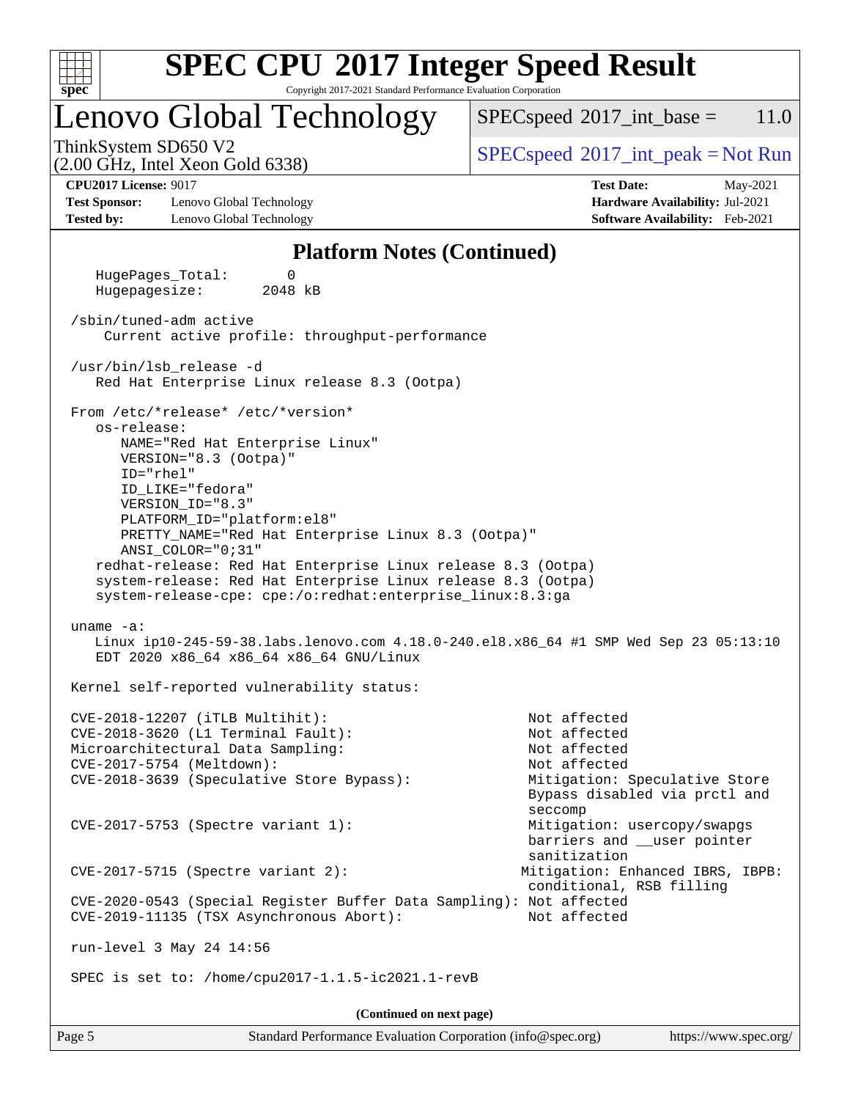

Copyright 2017-2021 Standard Performance Evaluation Corporation

### Lenovo Global Technology

 $SPECspeed^{\circ}2017\_int\_base = 11.0$  $SPECspeed^{\circ}2017\_int\_base = 11.0$ 

(2.00 GHz, Intel Xeon Gold 6338)

ThinkSystem SD650 V2<br>  $\begin{array}{c} \text{SPEC speed} \textdegree 2017\_int\_peak = Not Run \end{array}$ 

**[Test Sponsor:](http://www.spec.org/auto/cpu2017/Docs/result-fields.html#TestSponsor)** Lenovo Global Technology **[Hardware Availability:](http://www.spec.org/auto/cpu2017/Docs/result-fields.html#HardwareAvailability)** Jul-2021 **[Tested by:](http://www.spec.org/auto/cpu2017/Docs/result-fields.html#Testedby)** Lenovo Global Technology **[Software Availability:](http://www.spec.org/auto/cpu2017/Docs/result-fields.html#SoftwareAvailability)** Feb-2021

**[CPU2017 License:](http://www.spec.org/auto/cpu2017/Docs/result-fields.html#CPU2017License)** 9017 **[Test Date:](http://www.spec.org/auto/cpu2017/Docs/result-fields.html#TestDate)** May-2021

#### **[Platform Notes \(Continued\)](http://www.spec.org/auto/cpu2017/Docs/result-fields.html#PlatformNotes)**

 HugePages\_Total: 0 Hugepagesize: 2048 kB /sbin/tuned-adm active Current active profile: throughput-performance /usr/bin/lsb\_release -d Red Hat Enterprise Linux release 8.3 (Ootpa) From /etc/\*release\* /etc/\*version\* os-release: NAME="Red Hat Enterprise Linux" VERSION="8.3 (Ootpa)" ID="rhel" ID\_LIKE="fedora" VERSION\_ID="8.3" PLATFORM\_ID="platform:el8" PRETTY\_NAME="Red Hat Enterprise Linux 8.3 (Ootpa)" ANSI\_COLOR="0;31" redhat-release: Red Hat Enterprise Linux release 8.3 (Ootpa) system-release: Red Hat Enterprise Linux release 8.3 (Ootpa) system-release-cpe: cpe:/o:redhat:enterprise\_linux:8.3:ga uname -a: Linux ip10-245-59-38.labs.lenovo.com 4.18.0-240.el8.x86\_64 #1 SMP Wed Sep 23 05:13:10 EDT 2020 x86\_64 x86\_64 x86\_64 GNU/Linux Kernel self-reported vulnerability status: CVE-2018-12207 (iTLB Multihit): Not affected CVE-2018-3620 (L1 Terminal Fault): Not affected Microarchitectural Data Sampling: Not affected CVE-2017-5754 (Meltdown): Not affected CVE-2018-3639 (Speculative Store Bypass): Mitigation: Speculative Store Bypass disabled via prctl and seccompany and the contract of the contract of the contract of the second seconds of the contract of the contract of the contract of the contract of the contract of the contract of the contract of the contract of the contr CVE-2017-5753 (Spectre variant 1): Mitigation: usercopy/swapgs barriers and \_\_user pointer sanitization CVE-2017-5715 (Spectre variant 2): Mitigation: Enhanced IBRS, IBPB: conditional, RSB filling CVE-2020-0543 (Special Register Buffer Data Sampling): Not affected CVE-2019-11135 (TSX Asynchronous Abort): Not affected run-level 3 May 24 14:56 SPEC is set to: /home/cpu2017-1.1.5-ic2021.1-revB **(Continued on next page)**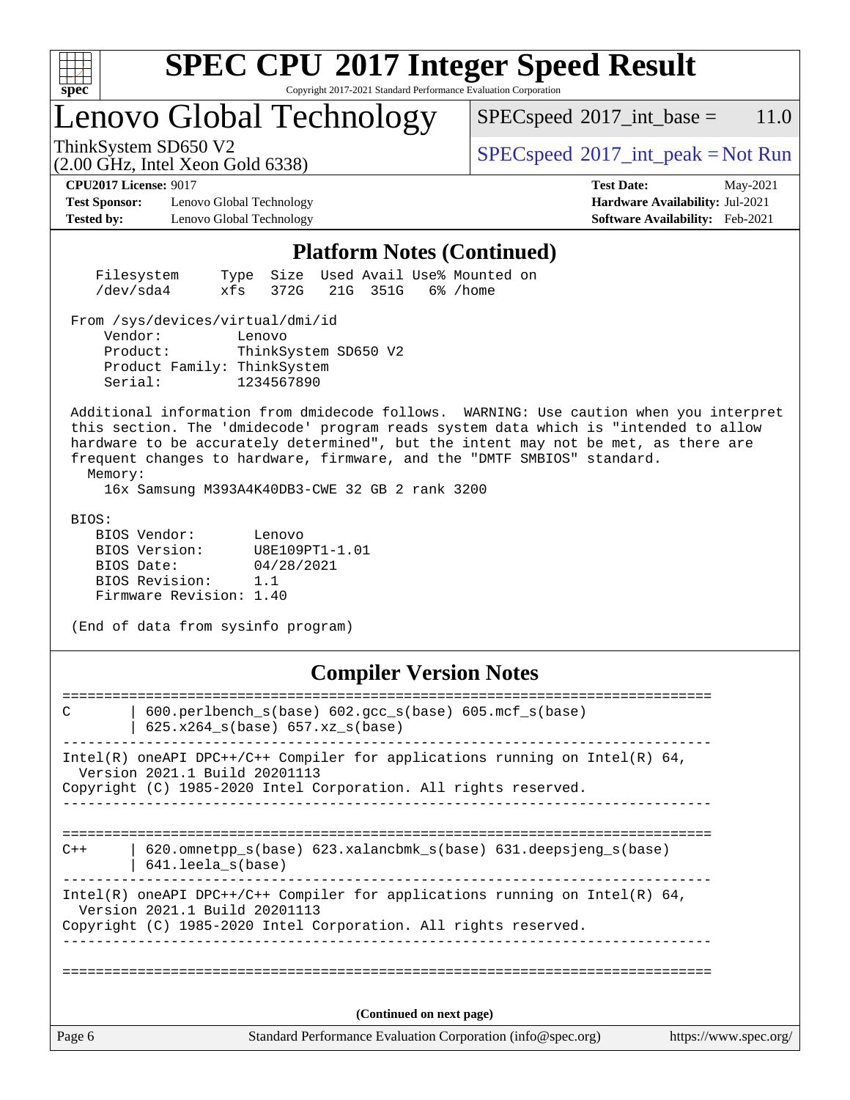

Copyright 2017-2021 Standard Performance Evaluation Corporation

## Lenovo Global Technology

 $SPECspeed^{\circ}2017\_int\_base = 11.0$  $SPECspeed^{\circ}2017\_int\_base = 11.0$ 

(2.00 GHz, Intel Xeon Gold 6338)

ThinkSystem SD650 V2<br>  $\begin{array}{c}\n\text{SPEC speed} \textdegree 2017\_int\_peak = Not Run\n\end{array}$ 

**[Test Sponsor:](http://www.spec.org/auto/cpu2017/Docs/result-fields.html#TestSponsor)** Lenovo Global Technology **[Hardware Availability:](http://www.spec.org/auto/cpu2017/Docs/result-fields.html#HardwareAvailability)** Jul-2021 **[Tested by:](http://www.spec.org/auto/cpu2017/Docs/result-fields.html#Testedby)** Lenovo Global Technology **[Software Availability:](http://www.spec.org/auto/cpu2017/Docs/result-fields.html#SoftwareAvailability)** Feb-2021

**[CPU2017 License:](http://www.spec.org/auto/cpu2017/Docs/result-fields.html#CPU2017License)** 9017 **[Test Date:](http://www.spec.org/auto/cpu2017/Docs/result-fields.html#TestDate)** May-2021

#### **[Platform Notes \(Continued\)](http://www.spec.org/auto/cpu2017/Docs/result-fields.html#PlatformNotes)**

| Filesystem |  |  | Type Size Used Avail Use% Mounted on |  |
|------------|--|--|--------------------------------------|--|
| /dev/sda4  |  |  | xfs 372G 21G 351G 6%/home            |  |

From /sys/devices/virtual/dmi/id

 Vendor: Lenovo Product: ThinkSystem SD650 V2 Product Family: ThinkSystem Serial: 1234567890

 Additional information from dmidecode follows. WARNING: Use caution when you interpret this section. The 'dmidecode' program reads system data which is "intended to allow hardware to be accurately determined", but the intent may not be met, as there are frequent changes to hardware, firmware, and the "DMTF SMBIOS" standard.

Memory:

16x Samsung M393A4K40DB3-CWE 32 GB 2 rank 3200

BIOS:

 BIOS Vendor: Lenovo BIOS Version: U8E109PT1-1.01 BIOS Date: 04/28/2021 BIOS Revision: 1.1 Firmware Revision: 1.40

(End of data from sysinfo program)

#### **[Compiler Version Notes](http://www.spec.org/auto/cpu2017/Docs/result-fields.html#CompilerVersionNotes)**

| C      | 600.perlbench_s(base) 602.gcc_s(base) 605.mcf_s(base)<br>625.x264_s(base) 657.xz_s(base)                                                                                           |                       |
|--------|------------------------------------------------------------------------------------------------------------------------------------------------------------------------------------|-----------------------|
|        | Intel(R) oneAPI DPC++/C++ Compiler for applications running on Intel(R) $64$ ,<br>Version 2021.1 Build 20201113<br>Copyright (C) 1985-2020 Intel Corporation. All rights reserved. |                       |
| $C++$  | $620$ .omnetpp $s(base)$ 623.xalancbmk $s(base)$ 631.deepsjeng $s(base)$<br>$641.$ leela $s(base)$                                                                                 |                       |
|        | Intel(R) oneAPI DPC++/C++ Compiler for applications running on Intel(R) $64$ ,<br>Version 2021.1 Build 20201113<br>Copyright (C) 1985-2020 Intel Corporation. All rights reserved. |                       |
| Page 6 | (Continued on next page)<br>Standard Performance Evaluation Corporation (info@spec.org)                                                                                            | https://www.spec.org/ |
|        |                                                                                                                                                                                    |                       |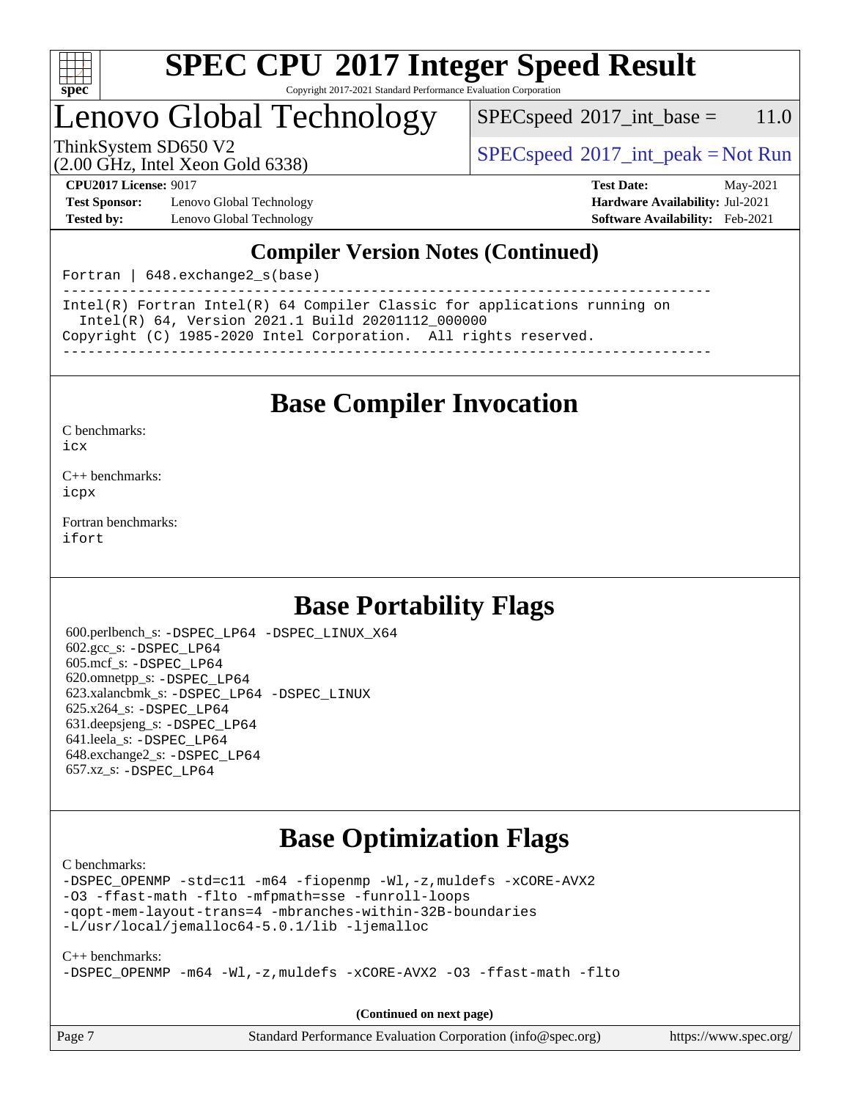

Copyright 2017-2021 Standard Performance Evaluation Corporation

### Lenovo Global Technology

 $SPEC speed^{\circ}2017\_int\_base = 11.0$ 

(2.00 GHz, Intel Xeon Gold 6338)

ThinkSystem SD650 V2<br>  $\begin{array}{c} \text{SPEC speed} \textdegree 2017\_int\_peak = Not Run \end{array}$ 

**[Test Sponsor:](http://www.spec.org/auto/cpu2017/Docs/result-fields.html#TestSponsor)** Lenovo Global Technology **[Hardware Availability:](http://www.spec.org/auto/cpu2017/Docs/result-fields.html#HardwareAvailability)** Jul-2021 **[Tested by:](http://www.spec.org/auto/cpu2017/Docs/result-fields.html#Testedby)** Lenovo Global Technology **[Software Availability:](http://www.spec.org/auto/cpu2017/Docs/result-fields.html#SoftwareAvailability)** Feb-2021

**[CPU2017 License:](http://www.spec.org/auto/cpu2017/Docs/result-fields.html#CPU2017License)** 9017 **[Test Date:](http://www.spec.org/auto/cpu2017/Docs/result-fields.html#TestDate)** May-2021

### **[Compiler Version Notes \(Continued\)](http://www.spec.org/auto/cpu2017/Docs/result-fields.html#CompilerVersionNotes)**

Fortran | 648.exchange2\_s(base)

------------------------------------------------------------------------------ Intel(R) Fortran Intel(R) 64 Compiler Classic for applications running on Intel(R) 64, Version 2021.1 Build 20201112\_000000 Copyright (C) 1985-2020 Intel Corporation. All rights reserved. ------------------------------------------------------------------------------

### **[Base Compiler Invocation](http://www.spec.org/auto/cpu2017/Docs/result-fields.html#BaseCompilerInvocation)**

[C benchmarks](http://www.spec.org/auto/cpu2017/Docs/result-fields.html#Cbenchmarks):

[icx](http://www.spec.org/cpu2017/results/res2021q3/cpu2017-20210615-27010.flags.html#user_CCbase_intel_icx_fe2d28d19ae2a5db7c42fe0f2a2aed77cb715edd4aeb23434404a8be6683fe239869bb6ca8154ca98265c2e3b9226a719a0efe2953a4a7018c379b7010ccf087)

[C++ benchmarks:](http://www.spec.org/auto/cpu2017/Docs/result-fields.html#CXXbenchmarks) [icpx](http://www.spec.org/cpu2017/results/res2021q3/cpu2017-20210615-27010.flags.html#user_CXXbase_intel_icpx_1e918ed14c436bf4b9b7c8bcdd51d4539fc71b3df010bd1e9f8732d9c34c2b2914e48204a846820f3c0ebb4095dea797a5c30b458ac0b6dffac65d78f781f5ca)

[Fortran benchmarks](http://www.spec.org/auto/cpu2017/Docs/result-fields.html#Fortranbenchmarks): [ifort](http://www.spec.org/cpu2017/results/res2021q3/cpu2017-20210615-27010.flags.html#user_FCbase_intel_ifort_8111460550e3ca792625aed983ce982f94888b8b503583aa7ba2b8303487b4d8a21a13e7191a45c5fd58ff318f48f9492884d4413fa793fd88dd292cad7027ca)

### **[Base Portability Flags](http://www.spec.org/auto/cpu2017/Docs/result-fields.html#BasePortabilityFlags)**

 600.perlbench\_s: [-DSPEC\\_LP64](http://www.spec.org/cpu2017/results/res2021q3/cpu2017-20210615-27010.flags.html#b600.perlbench_s_basePORTABILITY_DSPEC_LP64) [-DSPEC\\_LINUX\\_X64](http://www.spec.org/cpu2017/results/res2021q3/cpu2017-20210615-27010.flags.html#b600.perlbench_s_baseCPORTABILITY_DSPEC_LINUX_X64) 602.gcc\_s: [-DSPEC\\_LP64](http://www.spec.org/cpu2017/results/res2021q3/cpu2017-20210615-27010.flags.html#suite_basePORTABILITY602_gcc_s_DSPEC_LP64) 605.mcf\_s: [-DSPEC\\_LP64](http://www.spec.org/cpu2017/results/res2021q3/cpu2017-20210615-27010.flags.html#suite_basePORTABILITY605_mcf_s_DSPEC_LP64) 620.omnetpp\_s: [-DSPEC\\_LP64](http://www.spec.org/cpu2017/results/res2021q3/cpu2017-20210615-27010.flags.html#suite_basePORTABILITY620_omnetpp_s_DSPEC_LP64) 623.xalancbmk\_s: [-DSPEC\\_LP64](http://www.spec.org/cpu2017/results/res2021q3/cpu2017-20210615-27010.flags.html#suite_basePORTABILITY623_xalancbmk_s_DSPEC_LP64) [-DSPEC\\_LINUX](http://www.spec.org/cpu2017/results/res2021q3/cpu2017-20210615-27010.flags.html#b623.xalancbmk_s_baseCXXPORTABILITY_DSPEC_LINUX) 625.x264\_s: [-DSPEC\\_LP64](http://www.spec.org/cpu2017/results/res2021q3/cpu2017-20210615-27010.flags.html#suite_basePORTABILITY625_x264_s_DSPEC_LP64) 631.deepsjeng\_s: [-DSPEC\\_LP64](http://www.spec.org/cpu2017/results/res2021q3/cpu2017-20210615-27010.flags.html#suite_basePORTABILITY631_deepsjeng_s_DSPEC_LP64) 641.leela\_s: [-DSPEC\\_LP64](http://www.spec.org/cpu2017/results/res2021q3/cpu2017-20210615-27010.flags.html#suite_basePORTABILITY641_leela_s_DSPEC_LP64) 648.exchange2\_s: [-DSPEC\\_LP64](http://www.spec.org/cpu2017/results/res2021q3/cpu2017-20210615-27010.flags.html#suite_basePORTABILITY648_exchange2_s_DSPEC_LP64) 657.xz\_s: [-DSPEC\\_LP64](http://www.spec.org/cpu2017/results/res2021q3/cpu2017-20210615-27010.flags.html#suite_basePORTABILITY657_xz_s_DSPEC_LP64)

### **[Base Optimization Flags](http://www.spec.org/auto/cpu2017/Docs/result-fields.html#BaseOptimizationFlags)**

[C benchmarks](http://www.spec.org/auto/cpu2017/Docs/result-fields.html#Cbenchmarks):

[-DSPEC\\_OPENMP](http://www.spec.org/cpu2017/results/res2021q3/cpu2017-20210615-27010.flags.html#suite_CCbase_DSPEC_OPENMP) [-std=c11](http://www.spec.org/cpu2017/results/res2021q3/cpu2017-20210615-27010.flags.html#user_CCbase_std-icc-std_0e1c27790398a4642dfca32ffe6c27b5796f9c2d2676156f2e42c9c44eaad0c049b1cdb667a270c34d979996257aeb8fc440bfb01818dbc9357bd9d174cb8524) [-m64](http://www.spec.org/cpu2017/results/res2021q3/cpu2017-20210615-27010.flags.html#user_CCbase_m64-icc) [-fiopenmp](http://www.spec.org/cpu2017/results/res2021q3/cpu2017-20210615-27010.flags.html#user_CCbase_fiopenmp_4cde26b3fcccd23bd0bb70af4efc204325d72839eefa1147e34201101709f20b3deb62aad96701dea148529bf4ca48c90b72f3bf837ca148e297cf8a0ba6feb7) [-Wl,-z,muldefs](http://www.spec.org/cpu2017/results/res2021q3/cpu2017-20210615-27010.flags.html#user_CCbase_link_force_multiple1_b4cbdb97b34bdee9ceefcfe54f4c8ea74255f0b02a4b23e853cdb0e18eb4525ac79b5a88067c842dd0ee6996c24547a27a4b99331201badda8798ef8a743f577) [-xCORE-AVX2](http://www.spec.org/cpu2017/results/res2021q3/cpu2017-20210615-27010.flags.html#user_CCbase_f-xCORE-AVX2) [-O3](http://www.spec.org/cpu2017/results/res2021q3/cpu2017-20210615-27010.flags.html#user_CCbase_f-O3) [-ffast-math](http://www.spec.org/cpu2017/results/res2021q3/cpu2017-20210615-27010.flags.html#user_CCbase_f-ffast-math) [-flto](http://www.spec.org/cpu2017/results/res2021q3/cpu2017-20210615-27010.flags.html#user_CCbase_f-flto) [-mfpmath=sse](http://www.spec.org/cpu2017/results/res2021q3/cpu2017-20210615-27010.flags.html#user_CCbase_f-mfpmath_70eb8fac26bde974f8ab713bc9086c5621c0b8d2f6c86f38af0bd7062540daf19db5f3a066d8c6684be05d84c9b6322eb3b5be6619d967835195b93d6c02afa1) [-funroll-loops](http://www.spec.org/cpu2017/results/res2021q3/cpu2017-20210615-27010.flags.html#user_CCbase_f-funroll-loops) [-qopt-mem-layout-trans=4](http://www.spec.org/cpu2017/results/res2021q3/cpu2017-20210615-27010.flags.html#user_CCbase_f-qopt-mem-layout-trans_fa39e755916c150a61361b7846f310bcdf6f04e385ef281cadf3647acec3f0ae266d1a1d22d972a7087a248fd4e6ca390a3634700869573d231a252c784941a8) [-mbranches-within-32B-boundaries](http://www.spec.org/cpu2017/results/res2021q3/cpu2017-20210615-27010.flags.html#user_CCbase_f-mbranches-within-32B-boundaries) [-L/usr/local/jemalloc64-5.0.1/lib](http://www.spec.org/cpu2017/results/res2021q3/cpu2017-20210615-27010.flags.html#user_CCbase_jemalloc_link_path64_1_cc289568b1a6c0fd3b62c91b824c27fcb5af5e8098e6ad028160d21144ef1b8aef3170d2acf0bee98a8da324cfe4f67d0a3d0c4cc4673d993d694dc2a0df248b) [-ljemalloc](http://www.spec.org/cpu2017/results/res2021q3/cpu2017-20210615-27010.flags.html#user_CCbase_jemalloc_link_lib_d1249b907c500fa1c0672f44f562e3d0f79738ae9e3c4a9c376d49f265a04b9c99b167ecedbf6711b3085be911c67ff61f150a17b3472be731631ba4d0471706)

[C++ benchmarks:](http://www.spec.org/auto/cpu2017/Docs/result-fields.html#CXXbenchmarks) [-DSPEC\\_OPENMP](http://www.spec.org/cpu2017/results/res2021q3/cpu2017-20210615-27010.flags.html#suite_CXXbase_DSPEC_OPENMP) [-m64](http://www.spec.org/cpu2017/results/res2021q3/cpu2017-20210615-27010.flags.html#user_CXXbase_m64-icc) [-Wl,-z,muldefs](http://www.spec.org/cpu2017/results/res2021q3/cpu2017-20210615-27010.flags.html#user_CXXbase_link_force_multiple1_b4cbdb97b34bdee9ceefcfe54f4c8ea74255f0b02a4b23e853cdb0e18eb4525ac79b5a88067c842dd0ee6996c24547a27a4b99331201badda8798ef8a743f577) [-xCORE-AVX2](http://www.spec.org/cpu2017/results/res2021q3/cpu2017-20210615-27010.flags.html#user_CXXbase_f-xCORE-AVX2) [-O3](http://www.spec.org/cpu2017/results/res2021q3/cpu2017-20210615-27010.flags.html#user_CXXbase_f-O3) [-ffast-math](http://www.spec.org/cpu2017/results/res2021q3/cpu2017-20210615-27010.flags.html#user_CXXbase_f-ffast-math) [-flto](http://www.spec.org/cpu2017/results/res2021q3/cpu2017-20210615-27010.flags.html#user_CXXbase_f-flto)

**(Continued on next page)**

| Page 7 | Standard Performance Evaluation Corporation (info@spec.org) | https://www.spec.org/ |
|--------|-------------------------------------------------------------|-----------------------|
|--------|-------------------------------------------------------------|-----------------------|